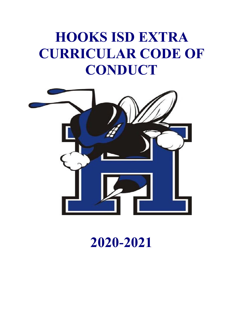# **HOOKS ISD EXTRA CURRICULAR CODE OF CONDUCT**



# **2020-2021**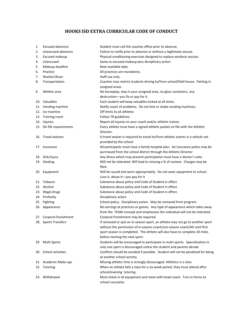### **HOOKS ISD EXTRA CURRICULAR CODE OF CONDUCT**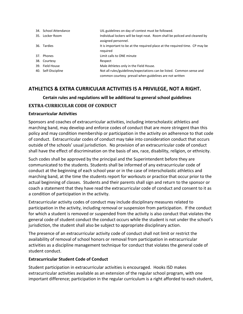| 34. School Attendance | UIL guidelines on day of contest must be followed.                                                                               |
|-----------------------|----------------------------------------------------------------------------------------------------------------------------------|
| 35. Locker Room       | Individual lockers will be kept neat. Room shall be policed and cleaned by                                                       |
|                       | assigned personnel.                                                                                                              |
| 36. Tardies           | It is important to be at the required place at the required time. CP may be<br>required                                          |
| 37. Phones            | Limit calls to ONE minute                                                                                                        |
| 38. Courtesy          | Respect                                                                                                                          |
| 39. Field House       | Male Athletes only in the Field House.                                                                                           |
| 40. Self-Discipline   | Not all rules/guidelines/expectations can be listed. Common sense and<br>common courtesy prevail when guidelines are not written |
|                       |                                                                                                                                  |

## **ATHLETICS & EXTRA CURRICULAR ACTIVITIES IS A PRIVILEGE, NOT A RIGHT.**

#### **Certain rules and regulations will be additional to general school guidelines**

#### **EXTRA-CURRICULAR CODE OF CONDUCT**

#### **Extracurricular Activities**

Sponsors and coaches of extracurricular activities, including interscholastic athletics and marching band, may develop and enforce codes of conduct that are more stringent than this policy and may condition membership or participation in the activity on adherence to that code of conduct. Extracurricular codes of conduct may take into consideration conduct that occurs outside of the schools' usual jurisdiction. No provision of an extracurricular code of conduct shall have the effect of discrimination on the basis of sex, race, disability, religion, or ethnicity.

Such codes shall be approved by the principal and the Superintendent before they are communicated to the students. Students shall be informed of any extracurricular code of conduct at the beginning of each school year or in the case of interscholastic athletics and marching band, at the time the students report for workouts or practice that occur prior to the actual beginning of classes. Students and their parents shall sign and return to the sponsor or coach a statement that they have read the extracurricular code of conduct and consent to it as a condition of participation in the activity.

Extracurricular activity codes of conduct may include disciplinary measures related to participation in the activity, including removal or suspension from participation. If the conduct for which a student is removed or suspended from the activity is also conduct that violates the general code of student conduct the conduct occurs while the student is not under the school's jurisdiction, the student shall also be subject to appropriate disciplinary action.

The presence of an extracurricular activity code of conduct shall not limit or restrict the availability of removal of school honors or removal from participation in extracurricular activities as a discipline management technique for conduct that violates the general code of student conduct.

#### **Extracurricular Student Code of Conduct**

Student participation in extracurricular activities is encouraged. Hooks ISD makes extracurricular activities available as an extension of the regular school program, with one important difference; participation in the regular curriculum is a right afforded to each student,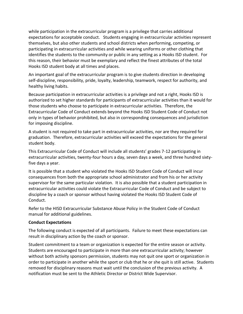while participation in the extracurricular program is a privilege that carries additional expectations for acceptable conduct. Students engaging in extracurricular activities represent themselves, but also other students and school districts when performing, competing, or participating in extracurricular activities and while wearing uniforms or other clothing that identifies the students to the community or public in any setting as a Hooks ISD student. For this reason, their behavior must be exemplary and reflect the finest attributes of the total Hooks ISD student body at all times and places.

An important goal of the extracurricular program is to give students direction in developing self-discipline, responsibility, pride, loyalty, leadership, teamwork, respect for authority, and healthy living habits.

Because participation in extracurricular activities is a privilege and not a right, Hooks ISD is authorized to set higher standards for participants of extracurricular activities than it would for those students who choose to participate in extracurricular activities. Therefore, the Extracurricular Code of Conduct extends beyond the Hooks ISD Student Code of Conduct not only in types of behavior prohibited, but also in corresponding consequences and jurisdiction for imposing discipline.

A student is not required to take part in extracurricular activities, nor are they required for graduation. Therefore, extracurricular activities will exceed the expectations for the general student body.

This Extracurricular Code of Conduct will include all students' grades 7-12 participating in extracurricular activities, twenty-four hours a day, seven days a week, and three hundred sixtyfive days a year.

It is possible that a student who violated the Hooks ISD Student Code of Conduct will incur consequences from both the appropriate school administrator and from his or her activity supervisor for the same particular violation. It is also possible that a student participation in extracurricular activities could violate the Extracurricular Code of Conduct and be subject to discipline by a coach or sponsor without having violated the Hooks ISD Student Code of Conduct.

Refer to the HISD Extracurricular Substance Abuse Policy in the Student Code of Conduct manual for additional guidelines.

#### **Conduct Expectations**

The following conduct is expected of all participants. Failure to meet these expectations can result in disciplinary action by the coach or sponsor.

Student commitment to a team or organization is expected for the entire season or activity. Students are encouraged to participate in more than one extracurricular activity; however without both activity sponsors permission, students may not quit one sport or organization in order to participate in another while the sport or club that he or she quit is still active. Students removed for disciplinary reasons must wait until the conclusion of the previous activity. A notification must be sent to the Athletic Director or District Wide Supervisor.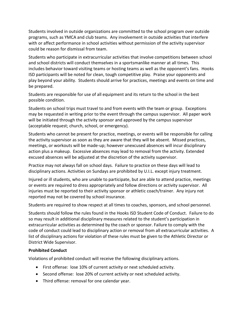Students involved in outside organizations are committed to the school program over outside programs, such as YMCA and club teams. Any involvement in outside activities that interfere with or affect performance in school activities without permission of the activity supervisor could be reason for dismissal from team.

Students who participate in extracurricular activities that involve competitions between school and school districts will conduct themselves in a sportsmanlike manner at all times. This includes behavior toward visiting teams or hosting teams as well as the opponent's fans. Hooks ISD participants will be noted for clean, tough competitive play. Praise your opponents and play beyond your ability. Students should arrive for practices, meetings and events on time and be prepared.

Students are responsible for use of all equipment and its return to the school in the best possible condition.

Students on school trips must travel to and from events with the team or group. Exceptions may be requested in writing prior to the event through the campus supervisor. All paper work will be initiated through the activity sponsor and approved by the campus supervisor (acceptable request; church, school, or emergency).

Students who cannot be present for practice, meetings, or events will be responsible for calling the activity supervisor as soon as they are aware that they will be absent. Missed practices, meetings, or workouts will be made-up; however unexcused absences will incur disciplinary action plus a makeup. Excessive absences may lead to removal from the activity. Extended excused absences will be adjusted at the discretion of the activity supervisor.

Practice may not always fall on school days. Failure to practice on these days will lead to disciplinary actions. Activities on Sundays are prohibited by U.I.L. except injury treatment.

Injured or ill students, who are unable to participate, but are able to attend practice, meetings or events are required to dress appropriately and follow directions or activity supervisor. All injuries must be reported to their activity sponsor or athletic coach/trainer. Any injury not reported may not be covered by school insurance.

Students are required to show respect at all times to coaches, sponsors, and school personnel.

Students should follow the rules found in the Hooks ISD Student Code of Conduct. Failure to do so may result in additional disciplinary measures related to the student's participation in extracurricular activities as determined by the coach or sponsor. Failure to comply with the code of conduct could lead to disciplinary action or removal from all extracurricular activities. A list of disciplinary actions for violation of these rules must be given to the Athletic Director or District Wide Supervisor.

#### **Prohibited Conduct**

Violations of prohibited conduct will receive the following disciplinary actions.

- First offense: lose 10% of current activity or next scheduled activity.
- Second offense: lose 20% of current activity or next scheduled activity.
- Third offense: removal for one calendar year.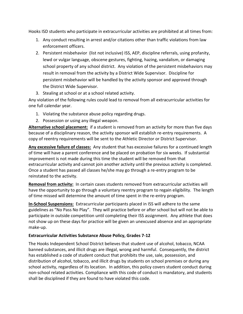Hooks ISD students who participate in extracurricular activities are prohibited at all times from:

- 1. Any conduct resulting in arrest and/or citations other than traffic violations from law enforcement officers.
- 2. Persistent misbehavior (list not inclusive) ISS, AEP, discipline referrals, using profanity, lewd or vulgar language, obscene gestures, fighting, hazing, vandalism, or damaging school property of any school district. Any violation of the persistent misbehaviors may result in removal from the activity by a District Wide Supervisor. Discipline for persistent misbehavior will be handled by the activity sponsor and approved through the District Wide Supervisor.
- 3. Stealing at school or at a school related activity.

Any violation of the following rules could lead to removal from all extracurricular activities for one full calendar year.

- 1. Violating the substance abuse policy regarding drugs.
- 2. Possession or using any illegal weapon.

**Alternative school placement:** if a student is removed from an activity for more than five days because of a disciplinary reason, the activity sponsor will establish re-entry requirements. A copy of reentry requirements will be sent to the Athletic Director or District Supervisor.

**Any excessive failure of classes:** Any student that has excessive failures for a continued length of time will have a parent conference and be placed on probation for six weeks. If substantial improvement is not made during this time the student will be removed from that extracurricular activity and cannot join another activity until the previous activity is completed. Once a student has passed all classes he/she may go through a re-entry program to be reinstated to the activity.

**Removal from activity:** In certain cases students removed from extracurricular activities will have the opportunity to go through a voluntary reentry program to regain eligibility. The length of time missed will determine the amount of time spent in the re-entry program.

**In-School Suspensions:** Extracurricular participants placed in ISS will adhere to the same guidelines as "No Pass No Play". They will practice before or after school but will not be able to participate in outside competition until completing their ISS assignment. Any athlete that does not show up on these days for practice will be given an unexcused absence and an appropriate make-up.

#### **Extracurricular Activities Substance Abuse Policy, Grades 7-12**

The Hooks Independent School District believes that student use of alcohol, tobacco, NCAA banned substances, and illicit drugs are illegal, wrong and harmful. Consequently, the district has established a code of student conduct that prohibits the use, sale, possession, and distribution of alcohol, tobacco, and illicit drugs by students on school premises or during any school activity, regardless of its location. In addition, this policy covers student conduct during non-school related activities. Compliance with this code of conduct is mandatory, and students shall be disciplined if they are found to have violated this code.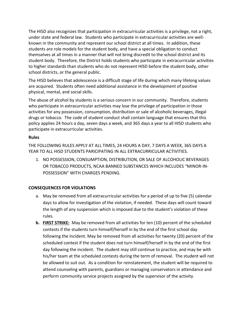The HISD also recognizes that participation in extracurricular activities is a privilege, not a right, under state and federal law. Students who participate in extracurricular activities are wellknown in the community and represent our school district at all times. In addition, these students are role models for the student body, and have a special obligation to conduct themselves at all times in a manner that will not bring discredit to the school district and its student body. Therefore, the District holds students who participate in extracurricular activities to higher standards than students who do not represent HISD before the student body, other school districts, or the general public.

The HISD believes that adolescence is a difficult stage of life during which many lifelong values are acquired. Students often need additional assistance in the development of positive physical, mental, and social skills.

The abuse of alcohol by students is a serious concern in our community. Therefore, students who participate in extracurricular activities may lose the privilege of participation in those activities for any possession, consumption, distribution or sale of alcoholic beverages, illegal drugs or tobacco. The code of student conduct shall contain language that ensures that this policy applies 24 hours a day, seven days a week, and 365 days a year to all HISD students who participate in extracurricular activities.

#### **Rules**

THE FOLLOWING RULES APPLY AT ALL TIMES, 24 HOURS A DAY, 7 DAYS A WEEK, 365 DAYS A YEAR TO ALL HISD STUDENTS PARICIPATING IN ALL EXTRACURRICULAR ACTIVITIES.

1. NO POSSESSION, CONSUMPTION, DISTRIBUTION, OR SALE OF ALCOHOLIC BEVERAGES OR TOBACCO PRODUCTS, NCAA BANNED SUBSTANCES WHICH INCLUDES "MINOR-IN-POSSESSION" WITH CHARGES PENDING.

#### **CONSEQUENCES FOR VIOLATIONS**

- a. May be removed from all extracurricular activities for a period of up to five (5) calendar days to allow for investigation of the violation, if needed. These days will count toward the length of any suspension which is imposed due to the student's violation of these rules.
- **b. FIRST STRIKE:** May be removed from all activities for ten (10) percent of the scheduled contests if the students turn himself/herself in by the end of the first school day following the incident. May be removed from all activities for twenty (20) percent of the scheduled contest if the student does not turn himself/herself in by the end of the first day following the incident. The student may still continue to practice, and may be with his/her team at the scheduled contests during the term of removal. The student will not be allowed to suit out. As a condition for reinstatement, the student will be required to attend counseling with parents, guardians or managing conservators in attendance and perform community service projects assigned by the supervisor of the activity.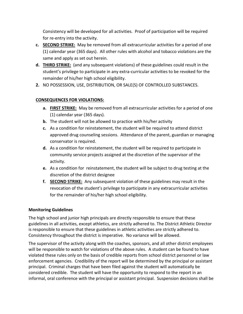Consistency will be developed for all activities. Proof of participation will be required for re-entry into the activity.

- **c. SECOND STRIKE:** May be removed from all extracurricular activities for a period of one (1) calendar year (365 days). All other rules with alcohol and tobacco violations are the same and apply as set out herein.
- **d. THIRD STRIKE:** (and any subsequent violations) of these guidelines could result in the student's privilege to participate in any extra-curricular activities to be revoked for the remainder of his/her high school eligibility.
- **2.** NO POSSESSION, USE, DISTRIBUTION, OR SALE(S) OF CONTROLLED SUBSTANCES.

#### **CONSEQUENCES FOR VIOLATIONS:**

- **a. FIRST STRIKE:** May be removed from all extracurricular activities for a period of one (1) calendar year (365 days).
- **b.** The student will not be allowed to practice with his/her activity
- **c.** As a condition for reinstatement, the student will be required to attend district approved drug counseling sessions. Attendance of the parent, guardian or managing conservator is required.
- **d.** As a condition for reinstatement, the student will be required to participate in community service projects assigned at the discretion of the supervisor of the activity.
- **e.** As a condition for reinstatement, the student will be subject to drug testing at the discretion of the district designee
- **f. SECOND STRIKE:** Any subsequent violation of these guidelines may result in the revocation of the student's privilege to participate in any extracurricular activities for the remainder of his/her high school eligibility.

#### **Monitoring Guidelines**

The high school and junior high principals are directly responsible to ensure that these guidelines in all activities, except athletics, are strictly adhered to. The District Athletic Director is responsible to ensure that these guidelines in athletic activities are strictly adhered to. Consistency throughout the district is imperative. No variance will be allowed.

The supervisor of the activity along with the coaches, sponsors, and all other district employees will be responsible to watch for violations of the above rules. A student can be found to have violated these rules only on the basis of credible reports from school district personnel or law enforcement agencies. Credibility of the report will be determined by the principal or assistant principal. Criminal charges that have been filed against the student will automatically be considered credible. The student will have the opportunity to respond to the report in an informal, oral conference with the principal or assistant principal. Suspension decisions shall be